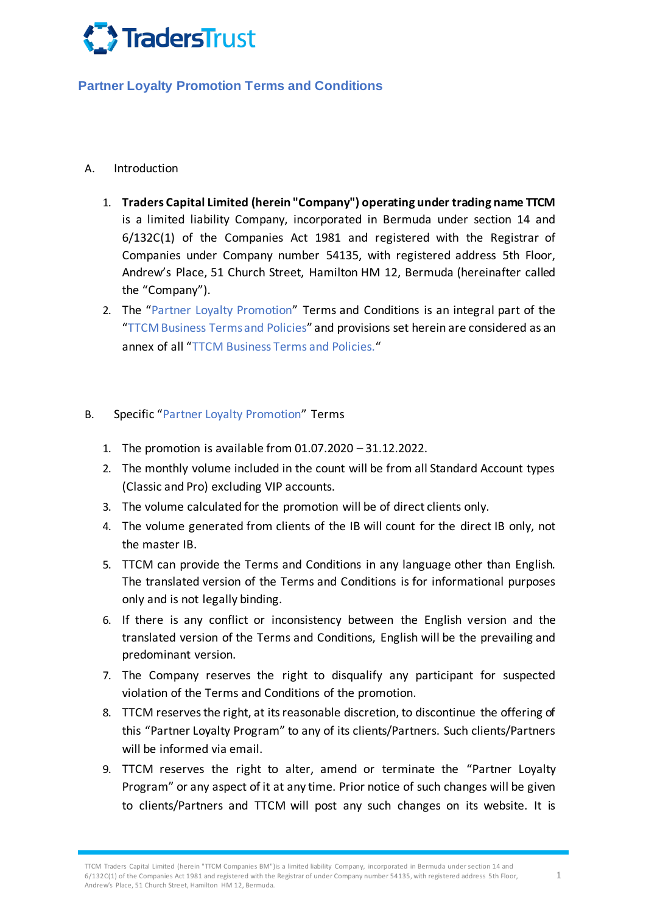

## **Partner Loyalty Promotion Terms and Conditions**

## A. Introduction

- 1. **Traders Capital Limited (herein "Company") operating under trading name TTCM**  is a limited liability Company, incorporated in Bermuda under section 14 and 6/132C(1) of the Companies Act 1981 and registered with the Registrar of Companies under Company number 54135, with registered address 5th Floor, Andrew's Place, 51 Church Street, Hamilton HM 12, Bermuda (hereinafter called the "Company").
- 2. The "Partner Loyalty Promotion" Terms and Conditions is an integral part of the "TTCM Business Terms and Policies" and provisions set herein are considered as an annex of all "TTCM Business Terms and Policies."

## B. Specific "Partner Loyalty Promotion" Terms

- 1. The promotion is available from 01.07.2020 31.12.2022.
- 2. The monthly volume included in the count will be from all Standard Account types (Classic and Pro) excluding VIP accounts.
- 3. The volume calculated for the promotion will be of direct clients only.
- 4. The volume generated from clients of the IB will count for the direct IB only, not the master IB.
- 5. TTCM can provide the Terms and Conditions in any language other than English. The translated version of the Terms and Conditions is for informational purposes only and is not legally binding.
- 6. If there is any conflict or inconsistency between the English version and the translated version of the Terms and Conditions, English will be the prevailing and predominant version.
- 7. The Company reserves the right to disqualify any participant for suspected violation of the Terms and Conditions of the promotion.
- 8. TTCM reserves the right, at its reasonable discretion, to discontinue the offering of this "Partner Loyalty Program" to any of its clients/Partners. Such clients/Partners will be informed via email.
- 9. TTCM reserves the right to alter, amend or terminate the "Partner Loyalty Program" or any aspect of it at any time. Prior notice of such changes will be given to clients/Partners and TTCM will post any such changes on its website. It is